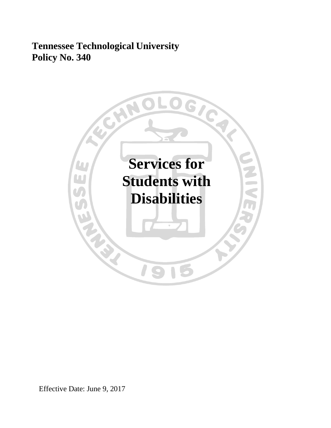# **Tennessee Technological University Policy No. 340**



Effective Date: June 9, 2017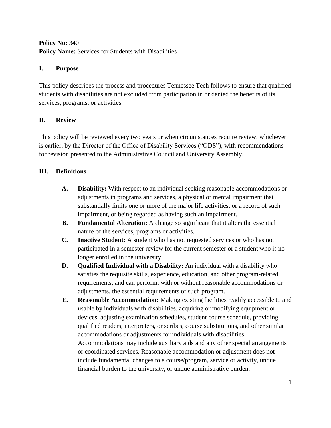# **Policy No:** 340 **Policy Name:** Services for Students with Disabilities

# **I. Purpose**

This policy describes the process and procedures Tennessee Tech follows to ensure that qualified students with disabilities are not excluded from participation in or denied the benefits of its services, programs, or activities.

# **II. Review**

This policy will be reviewed every two years or when circumstances require review, whichever is earlier, by the Director of the Office of Disability Services ("ODS"), with recommendations for revision presented to the Administrative Council and University Assembly.

# **III. Definitions**

- **A. Disability:** With respect to an individual seeking reasonable accommodations or adjustments in programs and services, a physical or mental impairment that substantially limits one or more of the major life activities, or a record of such impairment, or being regarded as having such an impairment.
- **B. Fundamental Alteration:** A change so significant that it alters the essential nature of the services, programs or activities.
- **C. Inactive Student:** A student who has not requested services or who has not participated in a semester review for the current semester or a student who is no longer enrolled in the university.
- **D. Qualified Individual with a Disability:** An individual with a disability who satisfies the requisite skills, experience, education, and other program-related requirements, and can perform, with or without reasonable accommodations or adjustments, the essential requirements of such program.
- **E. Reasonable Accommodation:** Making existing facilities readily accessible to and usable by individuals with disabilities, acquiring or modifying equipment or devices, adjusting examination schedules, student course schedule, providing qualified readers, interpreters, or scribes, course substitutions, and other similar accommodations or adjustments for individuals with disabilities. Accommodations may include auxiliary aids and any other special arrangements or coordinated services. Reasonable accommodation or adjustment does not include fundamental changes to a course/program, service or activity, undue financial burden to the university, or undue administrative burden.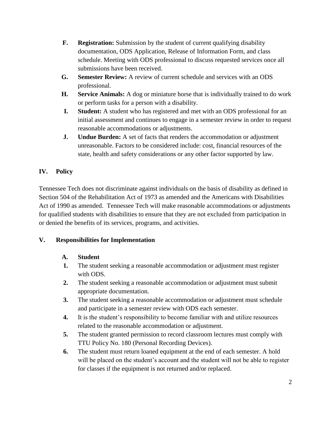- **F. Registration:** Submission by the student of current qualifying disability documentation, ODS Application, Release of Information Form, and class schedule. Meeting with ODS professional to discuss requested services once all submissions have been received.
- **G. Semester Review:** A review of current schedule and services with an ODS professional.
- **H. Service Animals:** A dog or miniature horse that is individually trained to do work or perform tasks for a person with a disability.
- **I. Student:** A student who has registered and met with an ODS professional for an initial assessment and continues to engage in a semester review in order to request reasonable accommodations or adjustments.
- **J. Undue Burden:** A set of facts that renders the accommodation or adjustment unreasonable. Factors to be considered include: cost, financial resources of the state, health and safety considerations or any other factor supported by law.

# **IV. Policy**

Tennessee Tech does not discriminate against individuals on the basis of disability as defined in Section 504 of the Rehabilitation Act of 1973 as amended and the Americans with Disabilities Act of 1990 as amended. Tennessee Tech will make reasonable accommodations or adjustments for qualified students with disabilities to ensure that they are not excluded from participation in or denied the benefits of its services, programs, and activities.

## **V. Responsibilities for Implementation**

# **A. Student**

- **1.** The student seeking a reasonable accommodation or adjustment must register with ODS.
- **2.** The student seeking a reasonable accommodation or adjustment must submit appropriate documentation.
- **3.** The student seeking a reasonable accommodation or adjustment must schedule and participate in a semester review with ODS each semester.
- **4.** It is the student's responsibility to become familiar with and utilize resources related to the reasonable accommodation or adjustment.
- **5.** The student granted permission to record classroom lectures must comply with TTU Policy No. 180 (Personal Recording Devices).
- **6.** The student must return loaned equipment at the end of each semester. A hold will be placed on the student's account and the student will not be able to register for classes if the equipment is not returned and/or replaced.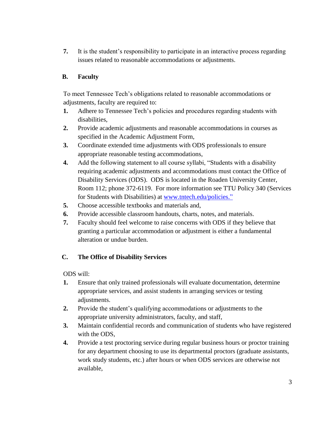**7.** It is the student's responsibility to participate in an interactive process regarding issues related to reasonable accommodations or adjustments.

#### **B. Faculty**

To meet Tennessee Tech's obligations related to reasonable accommodations or adjustments, faculty are required to:

- **1.** Adhere to Tennessee Tech's policies and procedures regarding students with disabilities,
- **2.** Provide academic adjustments and reasonable accommodations in courses as specified in the Academic Adjustment Form,
- **3.** Coordinate extended time adjustments with ODS professionals to ensure appropriate reasonable testing accommodations,
- **4.** Add the following statement to all course syllabi, "Students with a disability requiring academic adjustments and accommodations must contact the Office of Disability Services (ODS). ODS is located in the Roaden University Center, Room 112; phone 372-6119. For more information see TTU Policy 340 (Services for Students with Disabilities) at [www.tntech.edu/policies.](http://www.tntech.edu/policies)"
- **5.** Choose accessible textbooks and materials and,
- **6.** Provide accessible classroom handouts, charts, notes, and materials.
- **7.** Faculty should feel welcome to raise concerns with ODS if they believe that granting a particular accommodation or adjustment is either a fundamental alteration or undue burden.

#### **C. The Office of Disability Services**

ODS will:

- **1.** Ensure that only trained professionals will evaluate documentation, determine appropriate services, and assist students in arranging services or testing adjustments.
- **2.** Provide the student's qualifying accommodations or adjustments to the appropriate university administrators, faculty, and staff,
- **3.** Maintain confidential records and communication of students who have registered with the ODS,
- **4.** Provide a test proctoring service during regular business hours or proctor training for any department choosing to use its departmental proctors (graduate assistants, work study students, etc.) after hours or when ODS services are otherwise not available,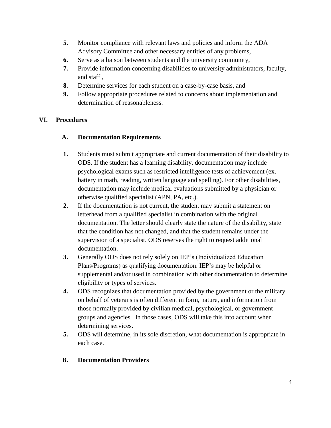- **5.** Monitor compliance with relevant laws and policies and inform the ADA Advisory Committee and other necessary entities of any problems,
- **6.** Serve as a liaison between students and the university community,
- **7.** Provide information concerning disabilities to university administrators, faculty, and staff ,
- **8.** Determine services for each student on a case-by-case basis, and
- **9.** Follow appropriate procedures related to concerns about implementation and determination of reasonableness.

# **VI. Procedures**

## **A. Documentation Requirements**

- **1.** Students must submit appropriate and current documentation of their disability to ODS. If the student has a learning disability, documentation may include psychological exams such as restricted intelligence tests of achievement (ex. battery in math, reading, written language and spelling). For other disabilities, documentation may include medical evaluations submitted by a physician or otherwise qualified specialist (APN, PA, etc.).
- **2.** If the documentation is not current, the student may submit a statement on letterhead from a qualified specialist in combination with the original documentation. The letter should clearly state the nature of the disability, state that the condition has not changed, and that the student remains under the supervision of a specialist. ODS reserves the right to request additional documentation.
- **3.** Generally ODS does not rely solely on IEP's (Individualized Education Plans/Programs) as qualifying documentation. IEP's may be helpful or supplemental and/or used in combination with other documentation to determine eligibility or types of services.
- **4.** ODS recognizes that documentation provided by the government or the military on behalf of veterans is often different in form, nature, and information from those normally provided by civilian medical, psychological, or government groups and agencies. In those cases, ODS will take this into account when determining services.
- **5.** ODS will determine, in its sole discretion, what documentation is appropriate in each case.

## **B. Documentation Providers**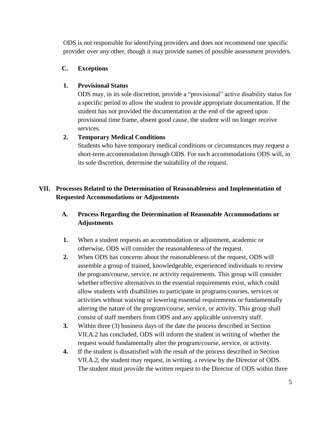ODS is not responsible for identifying providers and does not recommend one specific provider over any other, though it may provide names of possible assessment providers.

#### **C. Exceptions**

#### **1. Provisional Status**

ODS may, in its sole discretion, provide a "provisional" active disability status for a specific period to allow the student to provide appropriate documentation. If the student has not provided the documentation at the end of the agreed upon provisional time frame, absent good cause, the student will no longer receive services.

#### **2. Temporary Medical Conditions**

Students who have temporary medical conditions or circumstances may request a short-term accommodation through ODS. For such accommodations ODS will, in its sole discretion, determine the suitability of the request.

# **VII. Processes Related to the Determination of Reasonableness and Implementation of Requested Accommodations or Adjustments**

# **A. Process Regarding the Determination of Reasonable Accommodations or Adjustments**

- **1.** When a student requests an accommodation or adjustment, academic or otherwise, ODS will consider the reasonableness of the request.
- **2.** When ODS has concerns about the reasonableness of the request, ODS will assemble a group of trained, knowledgeable, experienced individuals to review the program/course, service, or activity requirements. This group will consider whether effective alternatives to the essential requirements exist, which could allow students with disabilities to participate in programs/courses, services or activities without waiving or lowering essential requirements or fundamentally altering the nature of the program/course, service, or activity. This group shall consist of staff members from ODS and any applicable university staff.
- **3.** Within three (3) business days of the date the process described in Section VII.A.2 has concluded, ODS will inform the student in writing of whether the request would fundamentally alter the program/course, service, or activity.
- **4.** If the student is dissatisfied with the result of the process described in Section VII.A.2, the student may request, in writing, a review by the Director of ODS. The student must provide the written request to the Director of ODS within three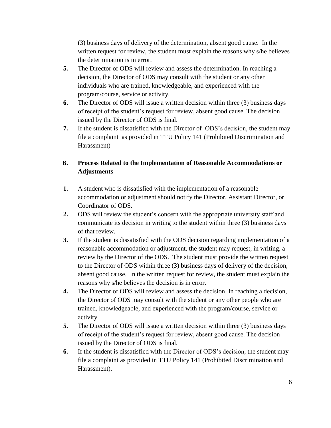(3) business days of delivery of the determination, absent good cause. In the written request for review, the student must explain the reasons why s/he believes the determination is in error.

- **5.** The Director of ODS will review and assess the determination. In reaching a decision, the Director of ODS may consult with the student or any other individuals who are trained, knowledgeable, and experienced with the program/course, service or activity.
- **6.** The Director of ODS will issue a written decision within three (3) business days of receipt of the student's request for review, absent good cause. The decision issued by the Director of ODS is final.
- **7.** If the student is dissatisfied with the Director of ODS's decision, the student may file a complaint as provided in TTU Policy 141 (Prohibited Discrimination and Harassment)

# **B. Process Related to the Implementation of Reasonable Accommodations or Adjustments**

- **1.** A student who is dissatisfied with the implementation of a reasonable accommodation or adjustment should notify the Director, Assistant Director, or Coordinator of ODS.
- **2.** ODS will review the student's concern with the appropriate university staff and communicate its decision in writing to the student within three (3) business days of that review.
- **3.** If the student is dissatisfied with the ODS decision regarding implementation of a reasonable accommodation or adjustment, the student may request, in writing, a review by the Director of the ODS. The student must provide the written request to the Director of ODS within three (3) business days of delivery of the decision, absent good cause. In the written request for review, the student must explain the reasons why s/he believes the decision is in error.
- **4.** The Director of ODS will review and assess the decision. In reaching a decision, the Director of ODS may consult with the student or any other people who are trained, knowledgeable, and experienced with the program/course, service or activity.
- **5.** The Director of ODS will issue a written decision within three (3) business days of receipt of the student's request for review, absent good cause. The decision issued by the Director of ODS is final.
- **6.** If the student is dissatisfied with the Director of ODS's decision, the student may file a complaint as provided in TTU Policy 141 (Prohibited Discrimination and Harassment).